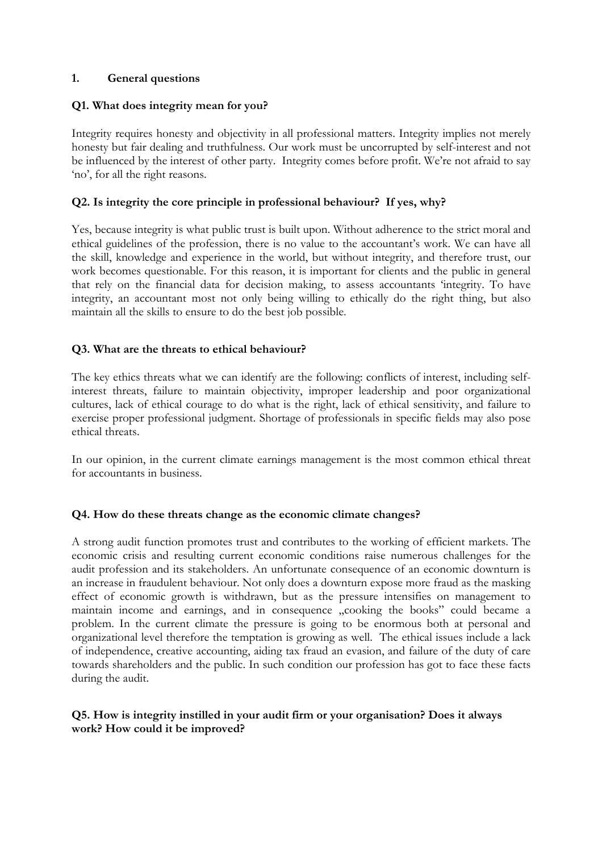## **1. General questions**

## **Q1. What does integrity mean for you?**

Integrity requires honesty and objectivity in all professional matters. Integrity implies not merely honesty but fair dealing and truthfulness. Our work must be uncorrupted by self-interest and not be influenced by the interest of other party. Integrity comes before profit. We're not afraid to say 'no', for all the right reasons.

## **Q2. Is integrity the core principle in professional behaviour? If yes, why?**

Yes, because integrity is what public trust is built upon. Without adherence to the strict moral and ethical guidelines of the profession, there is no value to the accountant's work. We can have all the skill, knowledge and experience in the world, but without integrity, and therefore trust, our work becomes questionable. For this reason, it is important for clients and the public in general that rely on the financial data for decision making, to assess accountants 'integrity. To have integrity, an accountant most not only being willing to ethically do the right thing, but also maintain all the skills to ensure to do the best job possible.

## **Q3. What are the threats to ethical behaviour?**

The key ethics threats what we can identify are the following: conflicts of interest, including selfinterest threats, failure to maintain objectivity, improper leadership and poor organizational cultures, lack of ethical courage to do what is the right, lack of ethical sensitivity, and failure to exercise proper professional judgment. Shortage of professionals in specific fields may also pose ethical threats.

In our opinion, in the current climate earnings management is the most common ethical threat for accountants in business.

### **Q4. How do these threats change as the economic climate changes?**

A strong audit function promotes trust and contributes to the working of efficient markets. The economic crisis and resulting current economic conditions raise numerous challenges for the audit profession and its stakeholders. An unfortunate consequence of an economic downturn is an increase in fraudulent behaviour. Not only does a downturn expose more fraud as the masking effect of economic growth is withdrawn, but as the pressure intensifies on management to maintain income and earnings, and in consequence "cooking the books" could became a problem. In the current climate the pressure is going to be enormous both at personal and organizational level therefore the temptation is growing as well. The ethical issues include a lack of independence, creative accounting, aiding tax fraud an evasion, and failure of the duty of care towards shareholders and the public. In such condition our profession has got to face these facts during the audit.

## **Q5. How is integrity instilled in your audit firm or your organisation? Does it always work? How could it be improved?**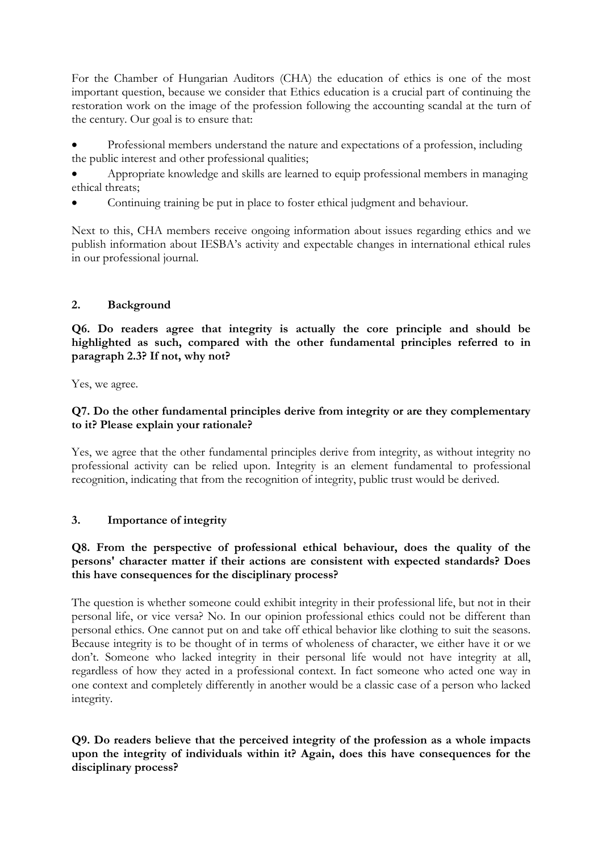For the Chamber of Hungarian Auditors (CHA) the education of ethics is one of the most important question, because we consider that Ethics education is a crucial part of continuing the restoration work on the image of the profession following the accounting scandal at the turn of the century. Our goal is to ensure that:

 Professional members understand the nature and expectations of a profession, including the public interest and other professional qualities;

 Appropriate knowledge and skills are learned to equip professional members in managing ethical threats;

Continuing training be put in place to foster ethical judgment and behaviour.

Next to this, CHA members receive ongoing information about issues regarding ethics and we publish information about IESBA's activity and expectable changes in international ethical rules in our professional journal.

## **2. Background**

**Q6. Do readers agree that integrity is actually the core principle and should be highlighted as such, compared with the other fundamental principles referred to in paragraph 2.3? If not, why not?** 

Yes, we agree.

## **Q7. Do the other fundamental principles derive from integrity or are they complementary to it? Please explain your rationale?**

Yes, we agree that the other fundamental principles derive from integrity, as without integrity no professional activity can be relied upon. Integrity is an element fundamental to professional recognition, indicating that from the recognition of integrity, public trust would be derived.

# **3. Importance of integrity**

### **Q8. From the perspective of professional ethical behaviour, does the quality of the persons' character matter if their actions are consistent with expected standards? Does this have consequences for the disciplinary process?**

The question is whether someone could exhibit integrity in their professional life, but not in their personal life, or vice versa? No. In our opinion professional ethics could not be different than personal ethics. One cannot put on and take off ethical behavior like clothing to suit the seasons. Because integrity is to be thought of in terms of wholeness of character, we either have it or we don't. Someone who lacked integrity in their personal life would not have integrity at all, regardless of how they acted in a professional context. In fact someone who acted one way in one context and completely differently in another would be a classic case of a person who lacked integrity.

# **Q9. Do readers believe that the perceived integrity of the profession as a whole impacts upon the integrity of individuals within it? Again, does this have consequences for the disciplinary process?**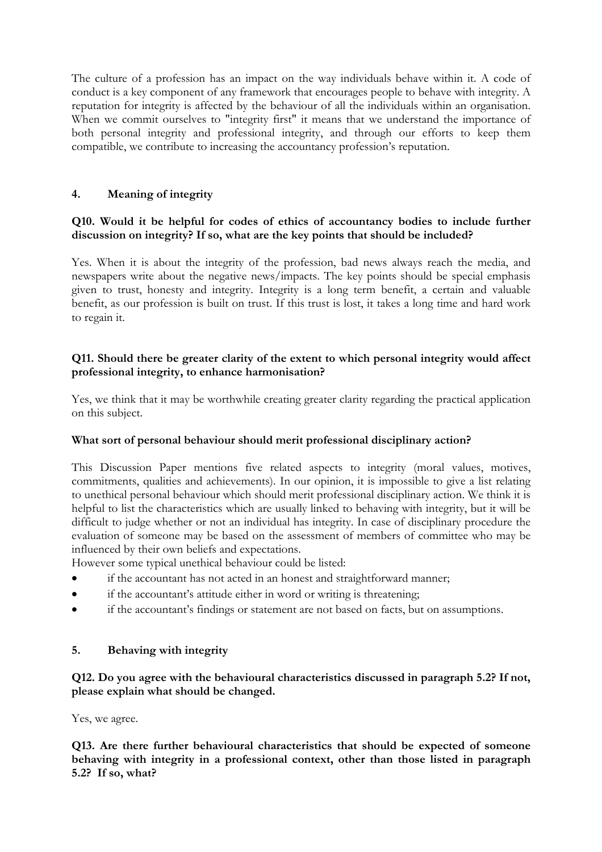The culture of a profession has an impact on the way individuals behave within it. A code of conduct is a key component of any framework that encourages people to behave with integrity. A reputation for integrity is affected by the behaviour of all the individuals within an organisation. When we commit ourselves to "integrity first" it means that we understand the importance of both personal integrity and professional integrity, and through our efforts to keep them compatible, we contribute to increasing the accountancy profession's reputation.

# **4. Meaning of integrity**

# **Q10. Would it be helpful for codes of ethics of accountancy bodies to include further discussion on integrity? If so, what are the key points that should be included?**

Yes. When it is about the integrity of the profession, bad news always reach the media, and newspapers write about the negative news/impacts. The key points should be special emphasis given to trust, honesty and integrity. Integrity is a long term benefit, a certain and valuable benefit, as our profession is built on trust. If this trust is lost, it takes a long time and hard work to regain it.

# **Q11. Should there be greater clarity of the extent to which personal integrity would affect professional integrity, to enhance harmonisation?**

Yes, we think that it may be worthwhile creating greater clarity regarding the practical application on this subject.

# **What sort of personal behaviour should merit professional disciplinary action?**

This Discussion Paper mentions five related aspects to integrity (moral values, motives, commitments, qualities and achievements). In our opinion, it is impossible to give a list relating to unethical personal behaviour which should merit professional disciplinary action. We think it is helpful to list the characteristics which are usually linked to behaving with integrity, but it will be difficult to judge whether or not an individual has integrity. In case of disciplinary procedure the evaluation of someone may be based on the assessment of members of committee who may be influenced by their own beliefs and expectations.

However some typical unethical behaviour could be listed:

- if the accountant has not acted in an honest and straightforward manner;
- if the accountant's attitude either in word or writing is threatening;
- if the accountant's findings or statement are not based on facts, but on assumptions.

# **5. Behaving with integrity**

**Q12. Do you agree with the behavioural characteristics discussed in paragraph 5.2? If not, please explain what should be changed.** 

Yes, we agree.

**Q13. Are there further behavioural characteristics that should be expected of someone behaving with integrity in a professional context, other than those listed in paragraph 5.2? If so, what?**